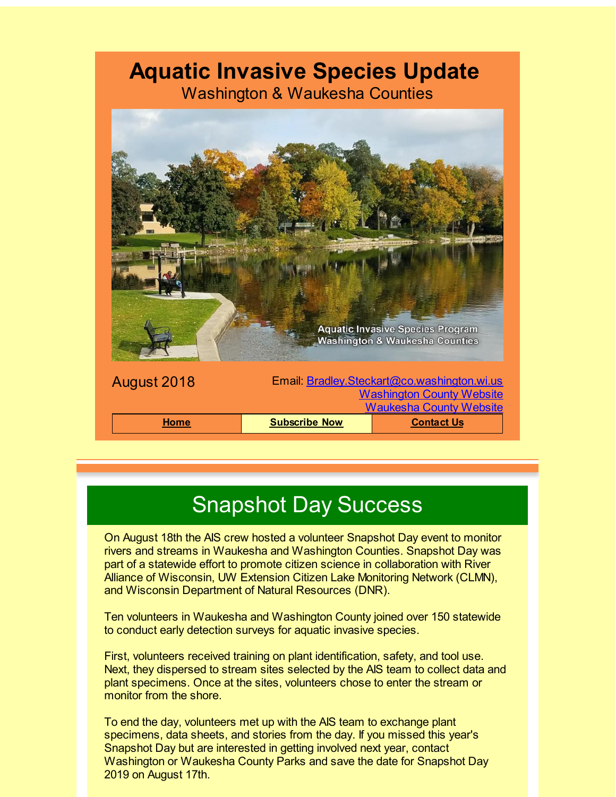# **Aquatic Invasive Species Update**

Washington & Waukesha Counties



# Snapshot Day Success

On August 18th the AIS crew hosted a volunteer Snapshot Day event to monitor rivers and streams in Waukesha and Washington Counties. Snapshot Day was part of a statewide effort to promote citizen science in collaboration with River Alliance of Wisconsin, UW Extension Citizen Lake Monitoring Network (CLMN), and Wisconsin Department of Natural Resources (DNR).

Ten volunteers in Waukesha and Washington County joined over 150 statewide to conduct early detection surveys for aquatic invasive species.

First, volunteers received training on plant identification, safety, and tool use. Next, they dispersed to stream sites selected by the AIS team to collect data and plant specimens. Once at the sites, volunteers chose to enter the stream or monitor from the shore.

To end the day, volunteers met up with the AIS team to exchange plant specimens, data sheets, and stories from the day. If you missed this year's Snapshot Day but are interested in getting involved next year, contact Washington or Waukesha County Parks and save the date for Snapshot Day 2019 on August 17th.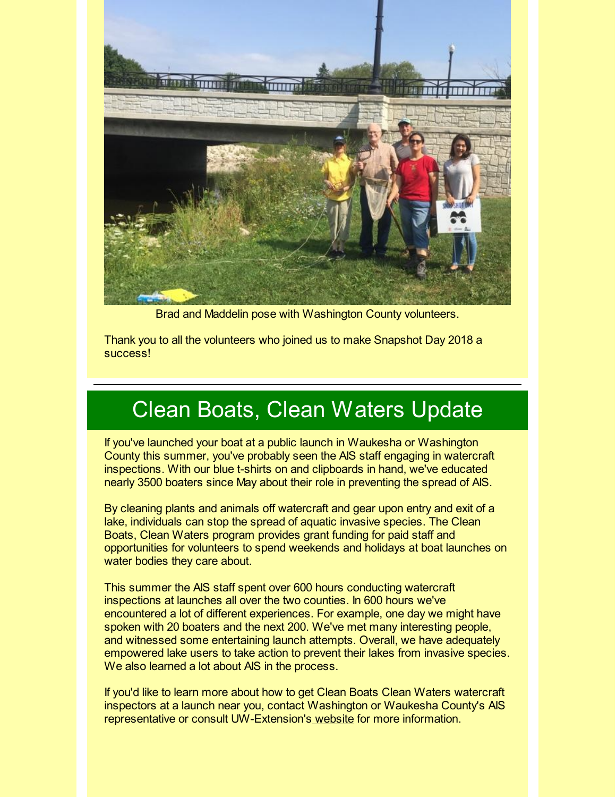

Brad and Maddelin pose with Washington County volunteers.

Thank you to all the volunteers who joined us to make Snapshot Day 2018 a success!

#### Clean Boats, Clean Waters Update

If you've launched your boat at a public launch in Waukesha or Washington County this summer, you've probably seen the AIS staff engaging in watercraft inspections. With our blue t-shirts on and clipboards in hand, we've educated nearly 3500 boaters since May about their role in preventing the spread of AIS.

By cleaning plants and animals off watercraft and gear upon entry and exit of a lake, individuals can stop the spread of aquatic invasive species. The Clean Boats, Clean Waters program provides grant funding for paid staff and opportunities for volunteers to spend weekends and holidays at boat launches on water bodies they care about.

This summer the AIS staff spent over 600 hours conducting watercraft inspections at launches all over the two counties. In 600 hours we've encountered a lot of different experiences. For example, one day we might have spoken with 20 boaters and the next 200. We've met many interesting people, and witnessed some entertaining launch attempts. Overall, we have adequately empowered lake users to take action to prevent their lakes from invasive species. We also learned a lot about AIS in the process.

If you'd like to learn more about how to get Clean Boats Clean Waters watercraft inspectors at a launch near you, contact Washington or Waukesha County's AIS representative or consult UW-Extension's [website](https://www.uwsp.edu/cnr-ap/UWEXLakes/Pages/programs/cbcw/default.aspx?utm_source=Aquatic+Invasive+Species+Update+AUGUST2018&utm_campaign=AIS+August+2018+Update&utm_medium=email) for more information.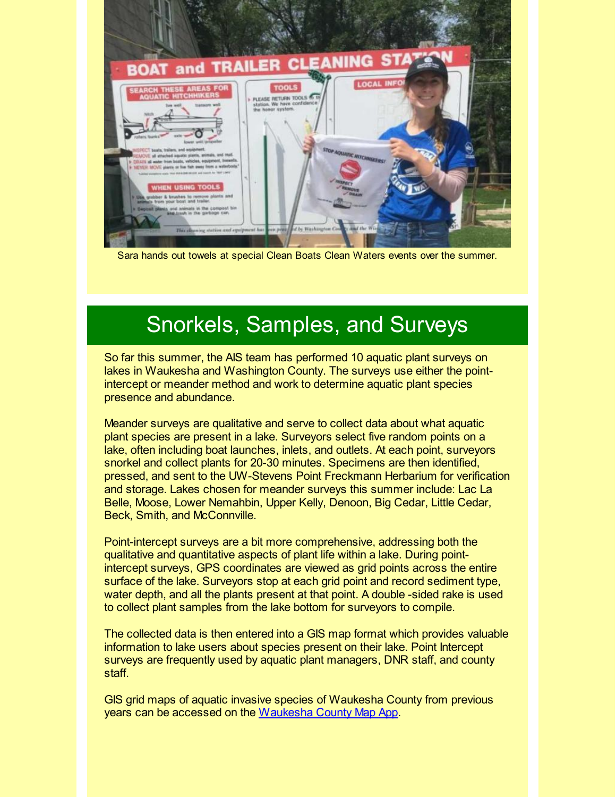

Sara hands out towels at special Clean Boats Clean Waters events over the summer.

### Snorkels, Samples, and Surveys

So far this summer, the AIS team has performed 10 aquatic plant surveys on lakes in Waukesha and Washington County. The surveys use either the pointintercept or meander method and work to determine aquatic plant species presence and abundance.

Meander surveys are qualitative and serve to collect data about what aquatic plant species are present in a lake. Surveyors select five random points on a lake, often including boat launches, inlets, and outlets. At each point, surveyors snorkel and collect plants for 20-30 minutes. Specimens are then identified, pressed, and sent to the UW-Stevens Point Freckmann Herbarium for verification and storage. Lakes chosen for meander surveys this summer include: Lac La Belle, Moose, Lower Nemahbin, Upper Kelly, Denoon, Big Cedar, Little Cedar, Beck, Smith, and McConnville.

Point-intercept surveys are a bit more comprehensive, addressing both the qualitative and quantitative aspects of plant life within a lake. During pointintercept surveys, GPS coordinates are viewed as grid points across the entire surface of the lake. Surveyors stop at each grid point and record sediment type, water depth, and all the plants present at that point. A double -sided rake is used to collect plant samples from the lake bottom for surveyors to compile.

The collected data is then entered into a GIS map format which provides valuable information to lake users about species present on their lake. Point Intercept surveys are frequently used by aquatic plant managers, DNR staff, and county staff.

GIS grid maps of aquatic invasive species of Waukesha County from previous years can be accessed on the [Waukesha](http://waukeshacounty.maps.arcgis.com/apps/webappviewer/index.html?id=a6430adc87794e1095429b4b54a637b8&utm_source=Aquatic+Invasive+Species+Update+AUGUST2018&utm_campaign=AIS+August+2018+Update&utm_medium=email) County Map App.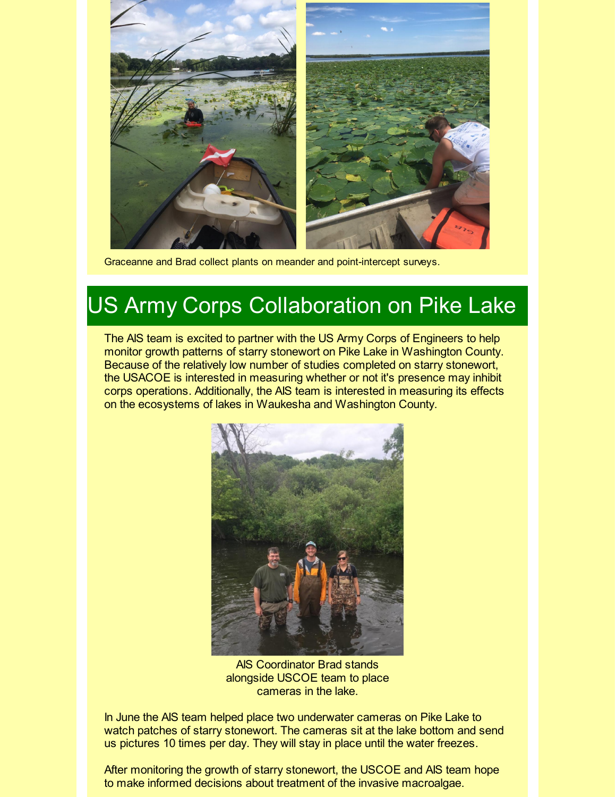

Graceanne and Brad collect plants on meander and point-intercept surveys.

## US Army Corps Collaboration on Pike Lake

The AIS team is excited to partner with the US Army Corps of Engineers to help monitor growth patterns of starry stonewort on Pike Lake in Washington County. Because of the relatively low number of studies completed on starry stonewort, the USACOE is interested in measuring whether or not it's presence may inhibit corps operations. Additionally, the AIS team is interested in measuring its effects on the ecosystems of lakes in Waukesha and Washington County.



AIS Coordinator Brad stands alongside USCOE team to place cameras in the lake.

In June the AIS team helped place two underwater cameras on Pike Lake to watch patches of starry stonewort. The cameras sit at the lake bottom and send us pictures 10 times per day. They will stay in place until the water freezes.

After monitoring the growth of starry stonewort, the USCOE and AIS team hope to make informed decisions about treatment of the invasive macroalgae.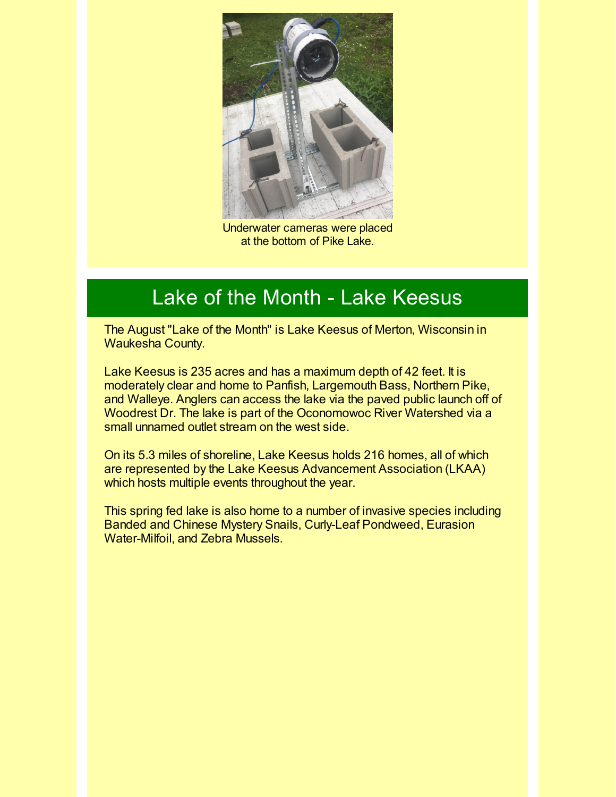

Underwater cameras were placed at the bottom of Pike Lake.

#### Lake of the Month - Lake Keesus

The August "Lake of the Month" is Lake Keesus of Merton, Wisconsin in Waukesha County.

Lake Keesus is 235 acres and has a maximum depth of 42 feet. It is moderately clear and home to Panfish, Largemouth Bass, Northern Pike, and Walleye. Anglers can access the lake via the paved public launch off of Woodrest Dr. The lake is part of the Oconomowoc River Watershed via a small unnamed outlet stream on the west side.

On its 5.3 miles of shoreline, Lake Keesus holds 216 homes, all of which are represented by the Lake Keesus Advancement Association (LKAA) which hosts multiple events throughout the year.

This spring fed lake is also home to a number of invasive species including Banded and Chinese Mystery Snails, Curly-Leaf Pondweed, Eurasion Water-Milfoil, and Zebra Mussels.